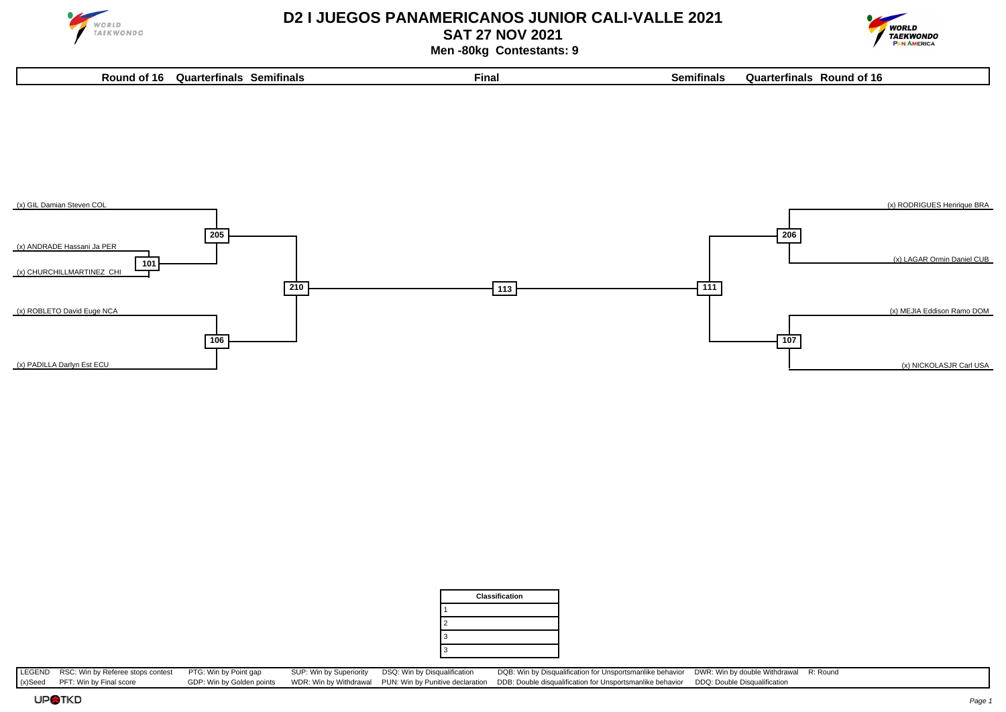

## **D2 I JUEGOS PANAMERICANOS JUNIOR CALI-VALLE 2021**

**SAT 27 NOV 2021**

**Round of 16 Quarterfinals Semifinals Final Semifinals Quarterfinals Round of 16**



 **Men -80kg Contestants: 9**



|   | <b>Classification</b> |
|---|-----------------------|
|   |                       |
| 2 |                       |
| 3 |                       |
| 3 |                       |

LEGEND RSC: Win by Referee stops contest PTG: Win by Point gap SUP: Win by Superiority DSQ: Win by Disqualification DQB: Win by Disqualification for Unsportsmanlike behavior DWR: Win by double Withdrawal R: Round (x)Seed PFT: Win by Final score GDP: Win by Golden points WDR: Win by Withdrawal PUN: Win by Punitive declaration DDB: Double disqualification for Unsportsmanlike behavior DDQ: Double Disqualification

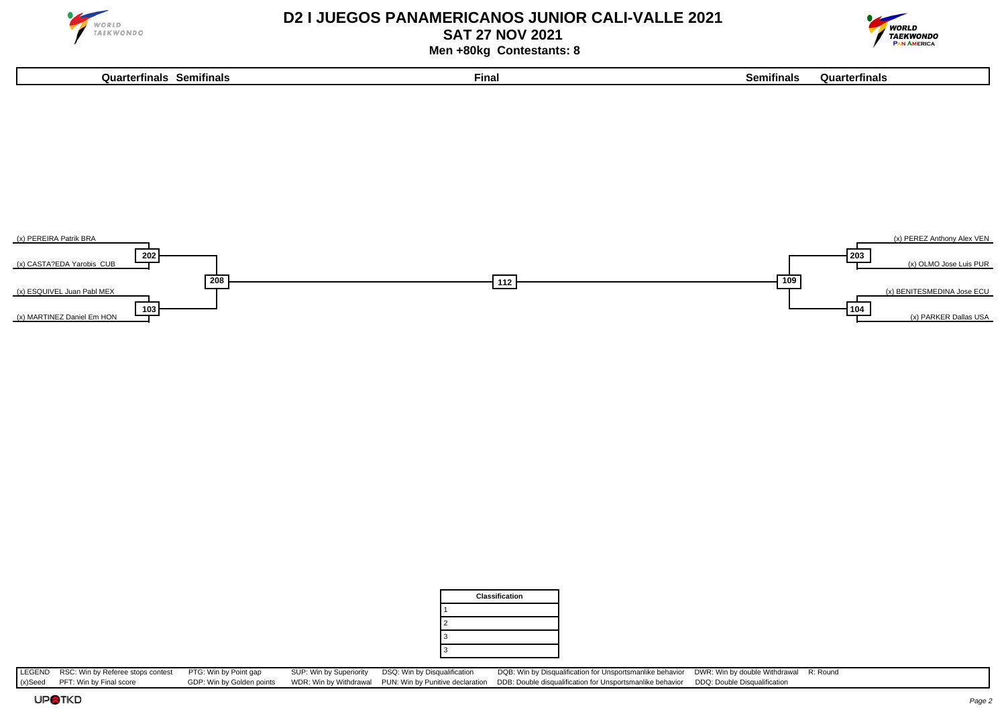

**103**

(x) MARTINEZ Daniel Em HON

## **D2 I JUEGOS PANAMERICANOS JUNIOR CALI-VALLE 2021**

**SAT 27 NOV 2021**



**104**

(x) PARKER Dallas USA

 **Men +80kg Contestants: 8**

**Quarterfinals Semifinals Final Semifinals Quarterfinals**





LEGEND RSC: Win by Referee stops contest PTG: Win by Point gap SUP: Win by Superiority DSQ: Win by Disqualification DQB: Win by Disqualification for Unsportsmanlike behavior DWR: Win by double Withdrawal R: Round (x) Seed (x)Seed PFT: Win by Final score GDP: Win by Golden points WDR: Win by Withdrawal PUN: Win by Punitive declaration DDB: Double disqualification for Unsportsmanlike behavior DDQ: Double Disqualification

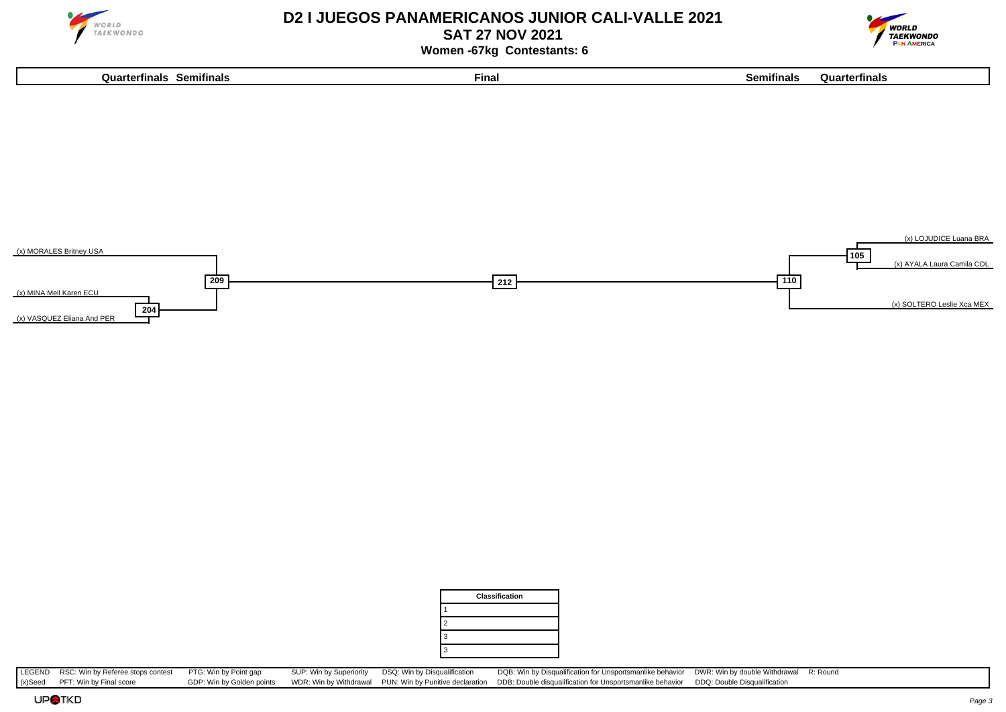

## **D2 I JUEGOS PANAMERICANOS JUNIOR CALI-VALLE 2021**

**SAT 27 NOV 2021**



 **Women -67kg Contestants: 6**







LEGEND RSC: Win by Referee stops contest PTG: Win by Point gap SUP: Win by Superiority DSQ: Win by Disqualification DQB: Win by Disqualification for Unsportsmanlike behavior DWR: Win by double Withdrawal R: Round (x) Seed (x)Seed PFT: Win by Final score GDP: Win by Golden points WDR: Win by Withdrawal PUN: Win by Punitive declaration DDB: Double disqualification for Unsportsmanlike behavior DDQ: Double Disqualification